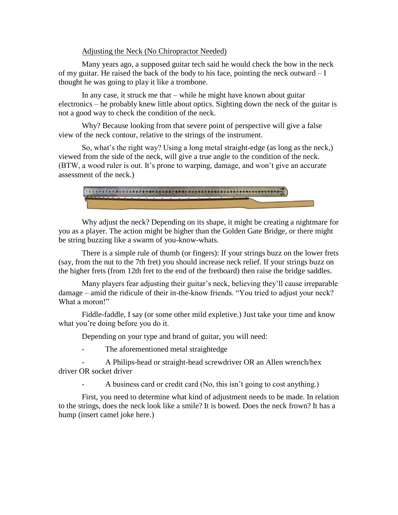Adjusting the Neck (No Chiropractor Needed)

Many years ago, a supposed guitar tech said he would check the bow in the neck of my guitar. He raised the back of the body to his face, pointing the neck outward – I thought he was going to play it like a trombone.

In any case, it struck me that – while he might have known about guitar electronics – he probably knew little about optics. Sighting down the neck of the guitar is not a good way to check the condition of the neck.

Why? Because looking from that severe point of perspective will give a false view of the neck contour, relative to the strings of the instrument.

So, what's the right way? Using a long metal straight-edge (as long as the neck,) viewed from the side of the neck, will give a true angle to the condition of the neck. (BTW, a wood ruler is out. It's prone to warping, damage, and won't give an accurate assessment of the neck.)



Why adjust the neck? Depending on its shape, it might be creating a nightmare for you as a player. The action might be higher than the Golden Gate Bridge, or there might be string buzzing like a swarm of you-know-whats.

There is a simple rule of thumb (or fingers): If your strings buzz on the lower frets (say, from the nut to the 7th fret) you should increase neck relief. If your strings buzz on the higher frets (from 12th fret to the end of the fretboard) then raise the bridge saddles.

Many players fear adjusting their guitar's neck, believing they'll cause irreparable damage – amid the ridicule of their in-the-know friends. "You tried to adjust your neck? What a moron!"

Fiddle-faddle, I say (or some other mild expletive.) Just take your time and know what you're doing before you do it.

Depending on your type and brand of guitar, you will need:

The aforementioned metal straightedge

A Philips-head or straight-head screwdriver OR an Allen wrench/hex driver OR socket driver

A business card or credit card (No, this isn't going to cost anything.)

First, you need to determine what kind of adjustment needs to be made. In relation to the strings, does the neck look like a smile? It is bowed. Does the neck frown? It has a hump (insert camel joke here.)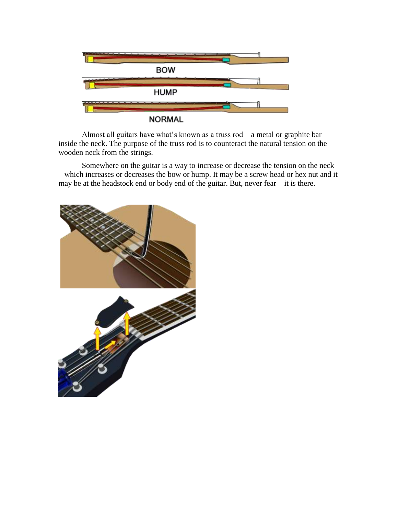

Almost all guitars have what's known as a truss rod – a metal or graphite bar inside the neck. The purpose of the truss rod is to counteract the natural tension on the wooden neck from the strings.

Somewhere on the guitar is a way to increase or decrease the tension on the neck – which increases or decreases the bow or hump. It may be a screw head or hex nut and it may be at the headstock end or body end of the guitar. But, never fear – it is there.